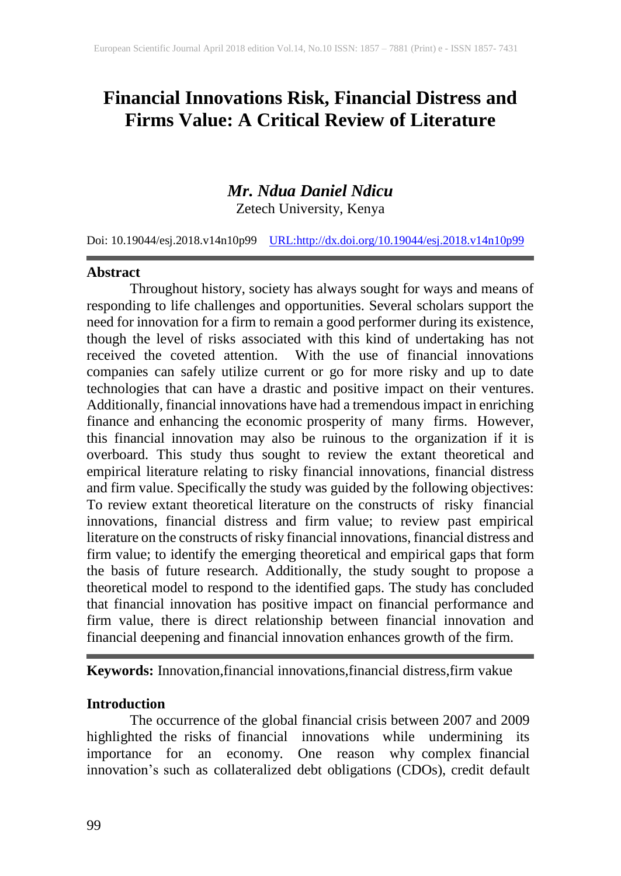# **Financial Innovations Risk, Financial Distress and Firms Value: A Critical Review of Literature**

# *Mr. Ndua Daniel Ndicu*

Zetech University, Kenya

Doi: 10.19044/esj.2018.v14n10p99 [URL:http://dx.doi.org/10.19044/esj.2018.v14n10p99](http://dx.doi.org/10.19044/esj.2018.v14n10p99)

#### **Abstract**

Throughout history, society has always sought for ways and means of responding to life challenges and opportunities. Several scholars support the need for innovation for a firm to remain a good performer during its existence, though the level of risks associated with this kind of undertaking has not received the coveted attention. With the use of financial innovations companies can safely utilize current or go for more risky and up to date technologies that can have a drastic and positive impact on their ventures. Additionally, financial innovations have had a tremendous impact in enriching finance and enhancing the economic prosperity of many firms. However, this financial innovation may also be ruinous to the organization if it is overboard. This study thus sought to review the extant theoretical and empirical literature relating to risky financial innovations, financial distress and firm value. Specifically the study was guided by the following objectives: To review extant theoretical literature on the constructs of risky financial innovations, financial distress and firm value; to review past empirical literature on the constructs of risky financial innovations, financial distress and firm value; to identify the emerging theoretical and empirical gaps that form the basis of future research. Additionally, the study sought to propose a theoretical model to respond to the identified gaps. The study has concluded that financial innovation has positive impact on financial performance and firm value, there is direct relationship between financial innovation and financial deepening and financial innovation enhances growth of the firm.

**Keywords:** Innovation,financial innovations,financial distress,firm vakue

### **Introduction**

The occurrence of the global financial crisis between 2007 and 2009 highlighted the risks of financial innovations while undermining its importance for an economy. One reason why complex financial innovation's such as collateralized debt obligations (CDOs), credit default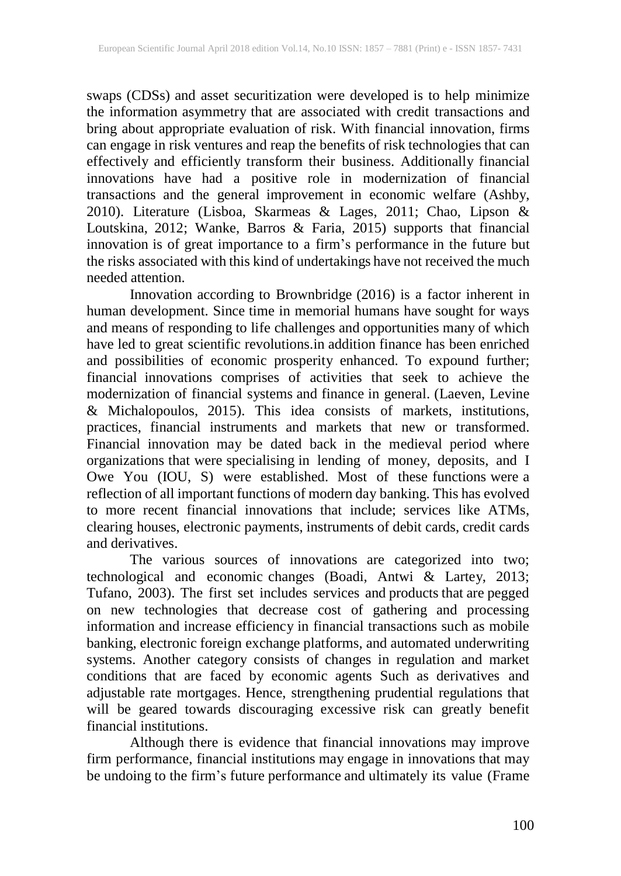swaps (CDSs) and asset securitization were developed is to help minimize the information asymmetry that are associated with credit transactions and bring about appropriate evaluation of risk. With financial innovation, firms can engage in risk ventures and reap the benefits of risk technologies that can effectively and efficiently transform their business. Additionally financial innovations have had a positive role in modernization of financial transactions and the general improvement in economic welfare (Ashby, 2010). Literature (Lisboa, Skarmeas & Lages, 2011; Chao, Lipson & Loutskina, 2012; Wanke, Barros & Faria, 2015) supports that financial innovation is of great importance to a firm's performance in the future but the risks associated with this kind of undertakings have not received the much needed attention.

Innovation according to Brownbridge (2016) is a factor inherent in human development. Since time in memorial humans have sought for ways and means of responding to life challenges and opportunities many of which have led to great scientific revolutions.in addition finance has been enriched and possibilities of economic prosperity enhanced. To expound further; financial innovations comprises of activities that seek to achieve the modernization of financial systems and finance in general. (Laeven, Levine & Michalopoulos, 2015). This idea consists of markets, institutions, practices, financial instruments and markets that new or transformed. Financial innovation may be dated back in the medieval period where organizations that were specialising in lending of money, deposits, and I Owe You (IOU, S) were established. Most of these functions were a reflection of all important functions of modern day banking. This has evolved to more recent financial innovations that include; services like ATMs, clearing houses, electronic payments, instruments of debit cards, credit cards and derivatives.

The various sources of innovations are categorized into two; technological and economic changes (Boadi, Antwi & Lartey, 2013; Tufano, 2003). The first set includes services and products that are pegged on new technologies that decrease cost of gathering and processing information and increase efficiency in financial transactions such as mobile banking, electronic foreign exchange platforms, and automated underwriting systems. Another category consists of changes in regulation and market conditions that are faced by economic agents Such as derivatives and adjustable rate mortgages. Hence, strengthening prudential regulations that will be geared towards discouraging excessive risk can greatly benefit financial institutions.

Although there is evidence that financial innovations may improve firm performance, financial institutions may engage in innovations that may be undoing to the firm's future performance and ultimately its value (Frame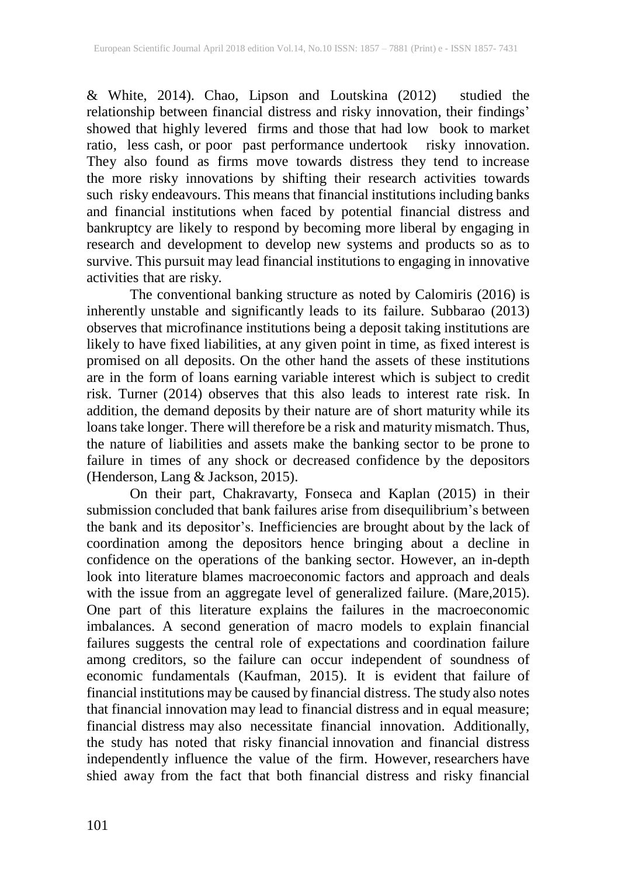& White, 2014). Chao, Lipson and Loutskina (2012) studied the relationship between financial distress and risky innovation, their findings' showed that highly levered firms and those that had low book to market ratio, less cash, or poor past performance undertook risky innovation. They also found as firms move towards distress they tend to increase the more risky innovations by shifting their research activities towards such risky endeavours. This means that financial institutions including banks and financial institutions when faced by potential financial distress and bankruptcy are likely to respond by becoming more liberal by engaging in research and development to develop new systems and products so as to survive. This pursuit may lead financial institutions to engaging in innovative activities that are risky.

The conventional banking structure as noted by Calomiris (2016) is inherently unstable and significantly leads to its failure. Subbarao (2013) observes that microfinance institutions being a deposit taking institutions are likely to have fixed liabilities, at any given point in time, as fixed interest is promised on all deposits. On the other hand the assets of these institutions are in the form of loans earning variable interest which is subject to credit risk. Turner (2014) observes that this also leads to interest rate risk. In addition, the demand deposits by their nature are of short maturity while its loans take longer. There will therefore be a risk and maturity mismatch. Thus, the nature of liabilities and assets make the banking sector to be prone to failure in times of any shock or decreased confidence by the depositors (Henderson, Lang & Jackson, 2015).

On their part, Chakravarty, Fonseca and Kaplan (2015) in their submission concluded that bank failures arise from disequilibrium's between the bank and its depositor's. Inefficiencies are brought about by the lack of coordination among the depositors hence bringing about a decline in confidence on the operations of the banking sector. However, an in-depth look into literature blames macroeconomic factors and approach and deals with the issue from an aggregate level of generalized failure. (Mare,2015). One part of this literature explains the failures in the macroeconomic imbalances. A second generation of macro models to explain financial failures suggests the central role of expectations and coordination failure among creditors, so the failure can occur independent of soundness of economic fundamentals (Kaufman, 2015). It is evident that failure of financial institutions may be caused by financial distress. The study also notes that financial innovation may lead to financial distress and in equal measure; financial distress may also necessitate financial innovation. Additionally, the study has noted that risky financial innovation and financial distress independently influence the value of the firm. However, researchers have shied away from the fact that both financial distress and risky financial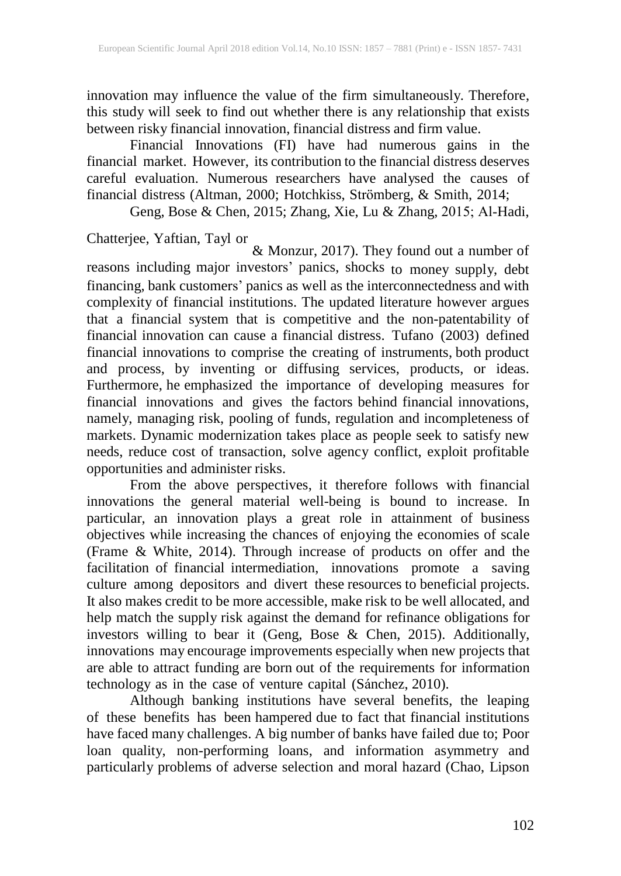innovation may influence the value of the firm simultaneously. Therefore, this study will seek to find out whether there is any relationship that exists between risky financial innovation, financial distress and firm value.

Financial Innovations (FI) have had numerous gains in the financial market. However, its contribution to the financial distress deserves careful evaluation. Numerous researchers have analysed the causes of financial distress (Altman, 2000; Hotchkiss, Strömberg, & Smith, 2014;

Geng, Bose & Chen, 2015; Zhang, Xie, Lu & Zhang, 2015; Al‐Hadi,

Chatterjee, Yaftian, Tayl or & Monzur, 2017). They found out a number of reasons including major investors' panics, shocks to money supply, debt financing, bank customers' panics as well as the interconnectedness and with complexity of financial institutions. The updated literature however argues that a financial system that is competitive and the non-patentability of financial innovation can cause a financial distress. Tufano (2003) defined financial innovations to comprise the creating of instruments, both product and process, by inventing or diffusing services, products, or ideas. Furthermore, he emphasized the importance of developing measures for financial innovations and gives the factors behind financial innovations, namely, managing risk, pooling of funds, regulation and incompleteness of markets. Dynamic modernization takes place as people seek to satisfy new needs, reduce cost of transaction, solve agency conflict, exploit profitable opportunities and administer risks.

From the above perspectives, it therefore follows with financial innovations the general material well-being is bound to increase. In particular, an innovation plays a great role in attainment of business objectives while increasing the chances of enjoying the economies of scale (Frame & White, 2014). Through increase of products on offer and the facilitation of financial intermediation, innovations promote a saving culture among depositors and divert these resources to beneficial projects. It also makes credit to be more accessible, make risk to be well allocated, and help match the supply risk against the demand for refinance obligations for investors willing to bear it (Geng, Bose & Chen, 2015). Additionally, innovations may encourage improvements especially when new projects that are able to attract funding are born out of the requirements for information technology as in the case of venture capital (Sánchez, 2010).

Although banking institutions have several benefits, the leaping of these benefits has been hampered due to fact that financial institutions have faced many challenges. A big number of banks have failed due to; Poor loan quality, non-performing loans, and information asymmetry and particularly problems of adverse selection and moral hazard (Chao, Lipson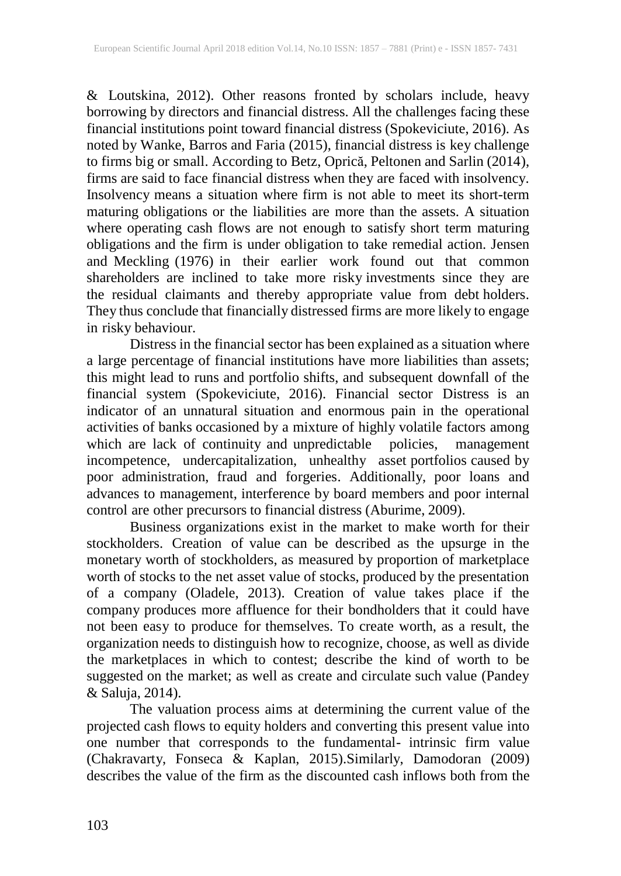& Loutskina, 2012). Other reasons fronted by scholars include, heavy borrowing by directors and financial distress. All the challenges facing these financial institutions point toward financial distress (Spokeviciute, 2016). As noted by Wanke, Barros and Faria (2015), financial distress is key challenge to firms big or small. According to Betz, Oprică, Peltonen and Sarlin (2014), firms are said to face financial distress when they are faced with insolvency. Insolvency means a situation where firm is not able to meet its short-term maturing obligations or the liabilities are more than the assets. A situation where operating cash flows are not enough to satisfy short term maturing obligations and the firm is under obligation to take remedial action. Jensen and Meckling (1976) in their earlier work found out that common shareholders are inclined to take more risky investments since they are the residual claimants and thereby appropriate value from debt holders. They thus conclude that financially distressed firms are more likely to engage in risky behaviour.

Distress in the financial sector has been explained as a situation where a large percentage of financial institutions have more liabilities than assets; this might lead to runs and portfolio shifts, and subsequent downfall of the financial system (Spokeviciute, 2016). Financial sector Distress is an indicator of an unnatural situation and enormous pain in the operational activities of banks occasioned by a mixture of highly volatile factors among which are lack of continuity and unpredictable policies, management incompetence, undercapitalization, unhealthy asset portfolios caused by poor administration, fraud and forgeries. Additionally, poor loans and advances to management, interference by board members and poor internal control are other precursors to financial distress (Aburime, 2009).

Business organizations exist in the market to make worth for their stockholders. Creation of value can be described as the upsurge in the monetary worth of stockholders, as measured by proportion of marketplace worth of stocks to the net asset value of stocks, produced by the presentation of a company (Oladele, 2013). Creation of value takes place if the company produces more affluence for their bondholders that it could have not been easy to produce for themselves. To create worth, as a result, the organization needs to distinguish how to recognize, choose, as well as divide the marketplaces in which to contest; describe the kind of worth to be suggested on the market; as well as create and circulate such value (Pandey & Saluja, 2014).

The valuation process aims at determining the current value of the projected cash flows to equity holders and converting this present value into one number that corresponds to the fundamental- intrinsic firm value (Chakravarty, Fonseca & Kaplan, 2015).Similarly, Damodoran (2009) describes the value of the firm as the discounted cash inflows both from the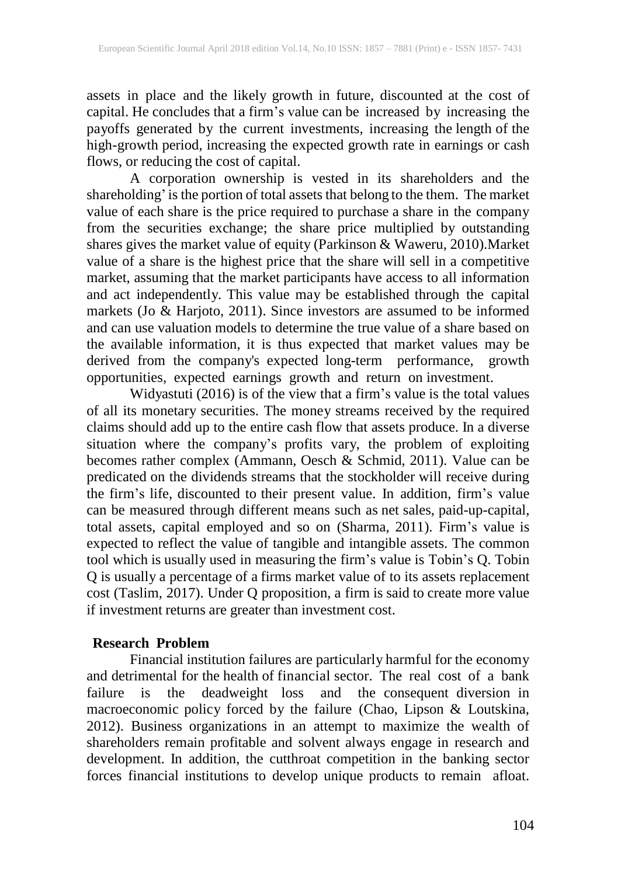assets in place and the likely growth in future, discounted at the cost of capital. He concludes that a firm's value can be increased by increasing the payoffs generated by the current investments, increasing the length of the high-growth period, increasing the expected growth rate in earnings or cash flows, or reducing the cost of capital.

A corporation ownership is vested in its shareholders and the shareholding'is the portion of total assets that belong to the them. The market value of each share is the price required to purchase a share in the company from the securities exchange; the share price multiplied by outstanding shares gives the market value of equity (Parkinson & Waweru, 2010).Market value of a share is the highest price that the share will sell in a competitive market, assuming that the market participants have access to all information and act independently. This value may be established through the capital markets (Jo & Harjoto, 2011). Since investors are assumed to be informed and can use valuation models to determine the true value of a share based on the available information, it is thus expected that market values may be derived from the company's expected long-term performance, growth opportunities, expected earnings growth and return on investment.

Widyastuti (2016) is of the view that a firm's value is the total values of all its monetary securities. The money streams received by the required claims should add up to the entire cash flow that assets produce. In a diverse situation where the company's profits vary, the problem of exploiting becomes rather complex (Ammann, Oesch & Schmid, 2011). Value can be predicated on the dividends streams that the stockholder will receive during the firm's life, discounted to their present value. In addition, firm's value can be measured through different means such as net sales, paid-up-capital, total assets, capital employed and so on (Sharma, 2011). Firm's value is expected to reflect the value of tangible and intangible assets. The common tool which is usually used in measuring the firm's value is Tobin's Q. Tobin Q is usually a percentage of a firms market value of to its assets replacement cost (Taslim, 2017). Under Q proposition, a firm is said to create more value if investment returns are greater than investment cost.

### **Research Problem**

Financial institution failures are particularly harmful for the economy and detrimental for the health of financial sector. The real cost of a bank failure is the deadweight loss and the consequent diversion in macroeconomic policy forced by the failure (Chao, Lipson & Loutskina, 2012). Business organizations in an attempt to maximize the wealth of shareholders remain profitable and solvent always engage in research and development. In addition, the cutthroat competition in the banking sector forces financial institutions to develop unique products to remain afloat.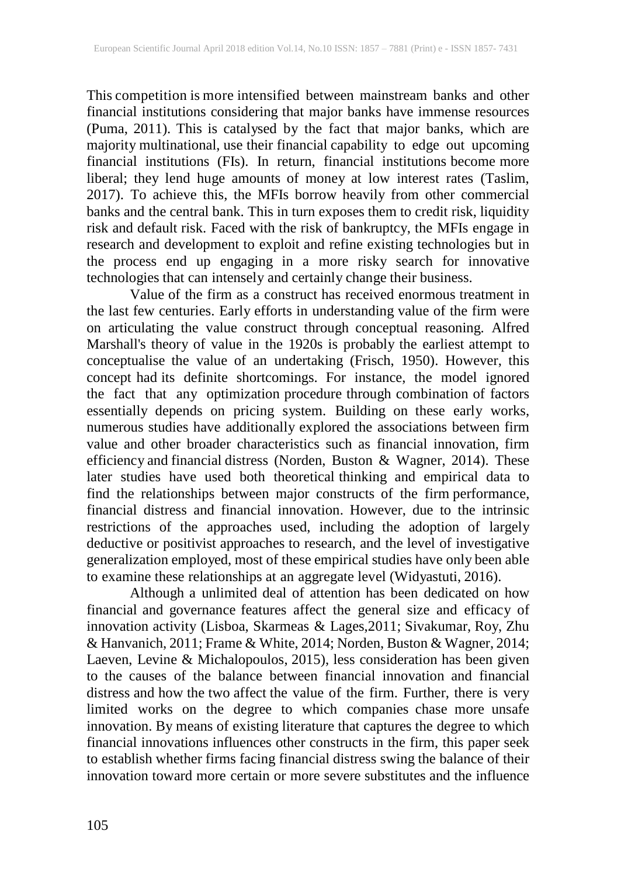This competition is more intensified between mainstream banks and other financial institutions considering that major banks have immense resources (Puma, 2011). This is catalysed by the fact that major banks, which are majority multinational, use their financial capability to edge out upcoming financial institutions (FIs). In return, financial institutions become more liberal; they lend huge amounts of money at low interest rates (Taslim, 2017). To achieve this, the MFIs borrow heavily from other commercial banks and the central bank. This in turn exposes them to credit risk, liquidity risk and default risk. Faced with the risk of bankruptcy, the MFIs engage in research and development to exploit and refine existing technologies but in the process end up engaging in a more risky search for innovative technologies that can intensely and certainly change their business.

Value of the firm as a construct has received enormous treatment in the last few centuries. Early efforts in understanding value of the firm were on articulating the value construct through conceptual reasoning. Alfred Marshall's theory of value in the 1920s is probably the earliest attempt to conceptualise the value of an undertaking (Frisch, 1950). However, this concept had its definite shortcomings. For instance, the model ignored the fact that any optimization procedure through combination of factors essentially depends on pricing system. Building on these early works, numerous studies have additionally explored the associations between firm value and other broader characteristics such as financial innovation, firm efficiency and financial distress (Norden, Buston & Wagner, 2014). These later studies have used both theoretical thinking and empirical data to find the relationships between major constructs of the firm performance, financial distress and financial innovation. However, due to the intrinsic restrictions of the approaches used, including the adoption of largely deductive or positivist approaches to research, and the level of investigative generalization employed, most of these empirical studies have only been able to examine these relationships at an aggregate level (Widyastuti, 2016).

Although a unlimited deal of attention has been dedicated on how financial and governance features affect the general size and efficacy of innovation activity (Lisboa, Skarmeas & Lages,2011; Sivakumar, Roy, Zhu & Hanvanich, 2011; Frame & White, 2014; Norden, Buston & Wagner, 2014; Laeven, Levine & Michalopoulos, 2015), less consideration has been given to the causes of the balance between financial innovation and financial distress and how the two affect the value of the firm. Further, there is very limited works on the degree to which companies chase more unsafe innovation. By means of existing literature that captures the degree to which financial innovations influences other constructs in the firm, this paper seek to establish whether firms facing financial distress swing the balance of their innovation toward more certain or more severe substitutes and the influence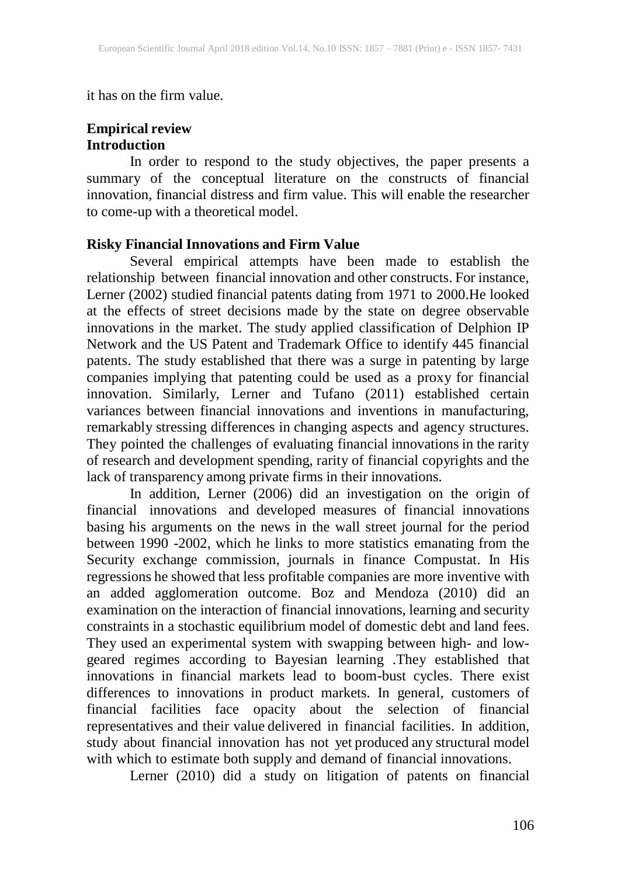it has on the firm value.

# **Empirical review Introduction**

In order to respond to the study objectives, the paper presents a summary of the conceptual literature on the constructs of financial innovation, financial distress and firm value. This will enable the researcher to come-up with a theoretical model.

# **Risky Financial Innovations and Firm Value**

Several empirical attempts have been made to establish the relationship between financial innovation and other constructs. For instance, Lerner (2002) studied financial patents dating from 1971 to 2000.He looked at the effects of street decisions made by the state on degree observable innovations in the market. The study applied classification of Delphion IP Network and the US Patent and Trademark Office to identify 445 financial patents. The study established that there was a surge in patenting by large companies implying that patenting could be used as a proxy for financial innovation. Similarly, Lerner and Tufano (2011) established certain variances between financial innovations and inventions in manufacturing, remarkably stressing differences in changing aspects and agency structures. They pointed the challenges of evaluating financial innovations in the rarity of research and development spending, rarity of financial copyrights and the lack of transparency among private firms in their innovations.

In addition, Lerner (2006) did an investigation on the origin of financial innovations and developed measures of financial innovations basing his arguments on the news in the wall street journal for the period between 1990 -2002, which he links to more statistics emanating from the Security exchange commission, journals in finance Compustat. In His regressions he showed that less profitable companies are more inventive with an added agglomeration outcome. Boz and Mendoza (2010) did an examination on the interaction of financial innovations, learning and security constraints in a stochastic equilibrium model of domestic debt and land fees. They used an experimental system with swapping between high- and lowgeared regimes according to Bayesian learning .They established that innovations in financial markets lead to boom-bust cycles. There exist differences to innovations in product markets. In general, customers of financial facilities face opacity about the selection of financial representatives and their value delivered in financial facilities. In addition, study about financial innovation has not yet produced any structural model with which to estimate both supply and demand of financial innovations.

Lerner (2010) did a study on litigation of patents on financial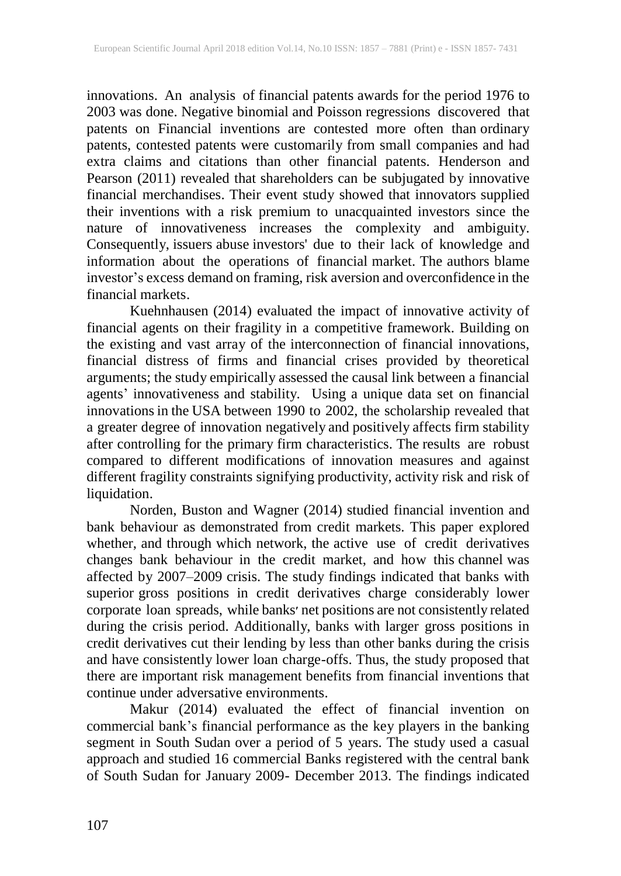innovations. An analysis of financial patents awards for the period 1976 to 2003 was done. Negative binomial and Poisson regressions discovered that patents on Financial inventions are contested more often than ordinary patents, contested patents were customarily from small companies and had extra claims and citations than other financial patents. Henderson and Pearson (2011) revealed that shareholders can be subjugated by innovative financial merchandises. Their event study showed that innovators supplied their inventions with a risk premium to unacquainted investors since the nature of innovativeness increases the complexity and ambiguity. Consequently, issuers abuse investors' due to their lack of knowledge and information about the operations of financial market. The authors blame investor's excess demand on framing, risk aversion and overconfidence in the financial markets.

Kuehnhausen (2014) evaluated the impact of innovative activity of financial agents on their fragility in a competitive framework. Building on the existing and vast array of the interconnection of financial innovations, financial distress of firms and financial crises provided by theoretical arguments; the study empirically assessed the causal link between a financial agents' innovativeness and stability. Using a unique data set on financial innovations in the USA between 1990 to 2002, the scholarship revealed that a greater degree of innovation negatively and positively affects firm stability after controlling for the primary firm characteristics. The results are robust compared to different modifications of innovation measures and against different fragility constraints signifying productivity, activity risk and risk of liquidation.

Norden, Buston and Wagner (2014) studied financial invention and bank behaviour as demonstrated from credit markets. This paper explored whether, and through which network, the active use of credit derivatives changes bank behaviour in the credit market, and how this channel was affected by 2007–2009 crisis. The study findings indicated that banks with superior gross positions in credit derivatives charge considerably lower corporate loan spreads, while banks׳ net positions are not consistently related during the crisis period. Additionally, banks with larger gross positions in credit derivatives cut their lending by less than other banks during the crisis and have consistently lower loan charge-offs. Thus, the study proposed that there are important risk management benefits from financial inventions that continue under adversative environments.

Makur (2014) evaluated the effect of financial invention on commercial bank's financial performance as the key players in the banking segment in South Sudan over a period of 5 years. The study used a casual approach and studied 16 commercial Banks registered with the central bank of South Sudan for January 2009- December 2013. The findings indicated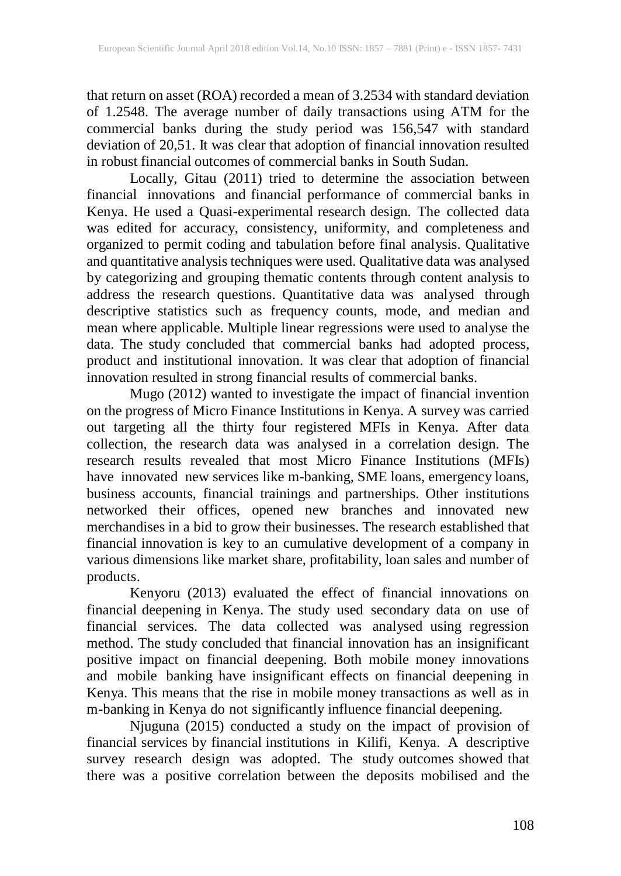that return on asset (ROA) recorded a mean of 3.2534 with standard deviation of 1.2548. The average number of daily transactions using ATM for the commercial banks during the study period was 156,547 with standard deviation of 20,51. It was clear that adoption of financial innovation resulted in robust financial outcomes of commercial banks in South Sudan.

Locally, Gitau (2011) tried to determine the association between financial innovations and financial performance of commercial banks in financial innovations and financial performance of commercial banks in Kenya. He used a Quasi-experimental research design. The collected data was edited for accuracy, consistency, uniformity, and completeness and organized to permit coding and tabulation before final analysis. Qualitative and quantitative analysis techniques were used. Qualitative data was analysed by categorizing and grouping thematic contents through content analysis to address the research questions. Quantitative data was analysed through descriptive statistics such as frequency counts, mode, and median and mean where applicable. Multiple linear regressions were used to analyse the data. The study concluded that commercial banks had adopted process, product and institutional innovation. It was clear that adoption of financial innovation resulted in strong financial results of commercial banks.

Mugo (2012) wanted to investigate the impact of financial invention on the progress of Micro Finance Institutions in Kenya. A survey was carried out targeting all the thirty four registered MFIs in Kenya. After data collection, the research data was analysed in a correlation design. The research results revealed that most Micro Finance Institutions (MFIs) have innovated new services like m-banking, SME loans, emergency loans, business accounts, financial trainings and partnerships. Other institutions networked their offices, opened new branches and innovated new merchandises in a bid to grow their businesses. The research established that financial innovation is key to an cumulative development of a company in various dimensions like market share, profitability, loan sales and number of products.

Kenyoru (2013) evaluated the effect of financial innovations on financial deepening in Kenya. The study used secondary data on use of financial services. The data collected was analysed using regression method. The study concluded that financial innovation has an insignificant positive impact on financial deepening. Both mobile money innovations and mobile banking have insignificant effects on financial deepening in Kenya. This means that the rise in mobile money transactions as well as in m-banking in Kenya do not significantly influence financial deepening.

Njuguna (2015) conducted a study on the impact of provision of financial services by financial institutions in Kilifi, Kenya. A descriptive survey research design was adopted. The study outcomes showed that there was a positive correlation between the deposits mobilised and the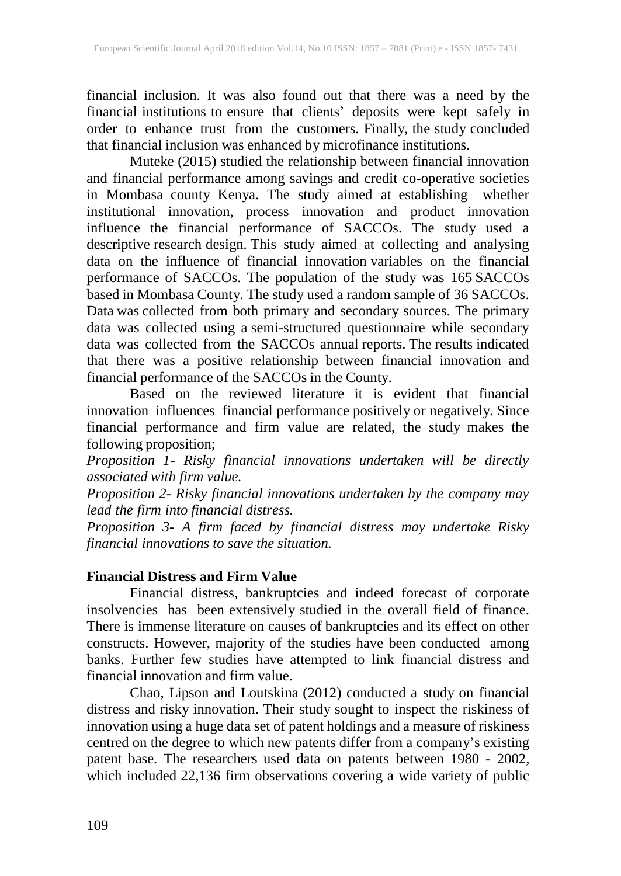financial inclusion. It was also found out that there was a need by the financial institutions to ensure that clients' deposits were kept safely in order to enhance trust from the customers. Finally, the study concluded that financial inclusion was enhanced by microfinance institutions.

Muteke (2015) studied the relationship between financial innovation and financial performance among savings and credit co-operative societies in Mombasa county Kenya. The study aimed at establishing whether institutional innovation, process innovation and product innovation influence the financial performance of SACCOs. The study used a descriptive research design. This study aimed at collecting and analysing data on the influence of financial innovation variables on the financial performance of SACCOs. The population of the study was 165 SACCOs based in Mombasa County. The study used a random sample of 36 SACCOs. Data was collected from both primary and secondary sources. The primary data was collected using a semi-structured questionnaire while secondary data was collected from the SACCOs annual reports. The results indicated that there was a positive relationship between financial innovation and financial performance of the SACCOs in the County.

Based on the reviewed literature it is evident that financial innovation influences financial performance positively or negatively. Since financial performance and firm value are related, the study makes the following proposition;

*Proposition 1- Risky financial innovations undertaken will be directly associated with firm value.*

*Proposition 2- Risky financial innovations undertaken by the company may lead the firm into financial distress.*

*Proposition 3- A firm faced by financial distress may undertake Risky financial innovations to save the situation.*

# **Financial Distress and Firm Value**

Financial distress, bankruptcies and indeed forecast of corporate insolvencies has been extensively studied in the overall field of finance. There is immense literature on causes of bankruptcies and its effect on other constructs. However, majority of the studies have been conducted among banks. Further few studies have attempted to link financial distress and financial innovation and firm value.

Chao, Lipson and Loutskina (2012) conducted a study on financial distress and risky innovation. Their study sought to inspect the riskiness of innovation using a huge data set of patent holdings and a measure of riskiness centred on the degree to which new patents differ from a company's existing patent base. The researchers used data on patents between 1980 - 2002, which included 22,136 firm observations covering a wide variety of public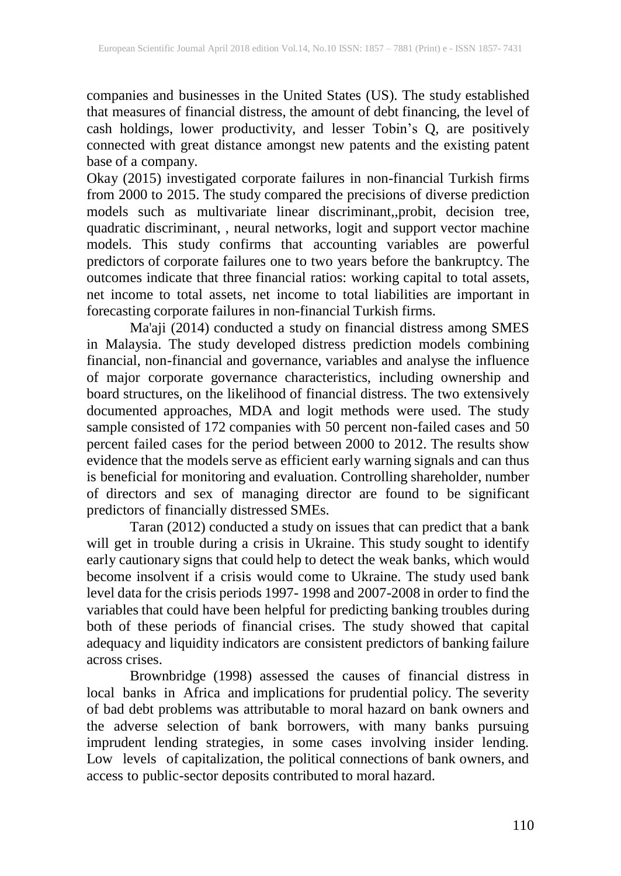companies and businesses in the United States (US). The study established that measures of financial distress, the amount of debt financing, the level of cash holdings, lower productivity, and lesser Tobin's Q, are positively connected with great distance amongst new patents and the existing patent base of a company.

Okay (2015) investigated corporate failures in non-financial Turkish firms from 2000 to 2015. The study compared the precisions of diverse prediction models such as multivariate linear discriminant,,probit, decision tree, quadratic discriminant, , neural networks, logit and support vector machine models. This study confirms that accounting variables are powerful predictors of corporate failures one to two years before the bankruptcy. The outcomes indicate that three financial ratios: working capital to total assets, net income to total assets, net income to total liabilities are important in forecasting corporate failures in non-financial Turkish firms.

Ma'aji (2014) conducted a study on financial distress among SMES in Malaysia. The study developed distress prediction models combining financial, non-financial and governance, variables and analyse the influence of major corporate governance characteristics, including ownership and board structures, on the likelihood of financial distress. The two extensively documented approaches, MDA and logit methods were used. The study sample consisted of 172 companies with 50 percent non-failed cases and 50 percent failed cases for the period between 2000 to 2012. The results show evidence that the models serve as efficient early warning signals and can thus is beneficial for monitoring and evaluation. Controlling shareholder, number of directors and sex of managing director are found to be significant predictors of financially distressed SMEs.

Taran (2012) conducted a study on issues that can predict that a bank will get in trouble during a crisis in Ukraine. This study sought to identify early cautionary signs that could help to detect the weak banks, which would become insolvent if a crisis would come to Ukraine. The study used bank level data for the crisis periods 1997- 1998 and 2007-2008 in order to find the variables that could have been helpful for predicting banking troubles during both of these periods of financial crises. The study showed that capital adequacy and liquidity indicators are consistent predictors of banking failure across crises.

Brownbridge (1998) assessed the causes of financial distress in local banks in Africa and implications for prudential policy. The severity of bad debt problems was attributable to moral hazard on bank owners and the adverse selection of bank borrowers, with many banks pursuing imprudent lending strategies, in some cases involving insider lending. Low levels of capitalization, the political connections of bank owners, and access to public-sector deposits contributed to moral hazard.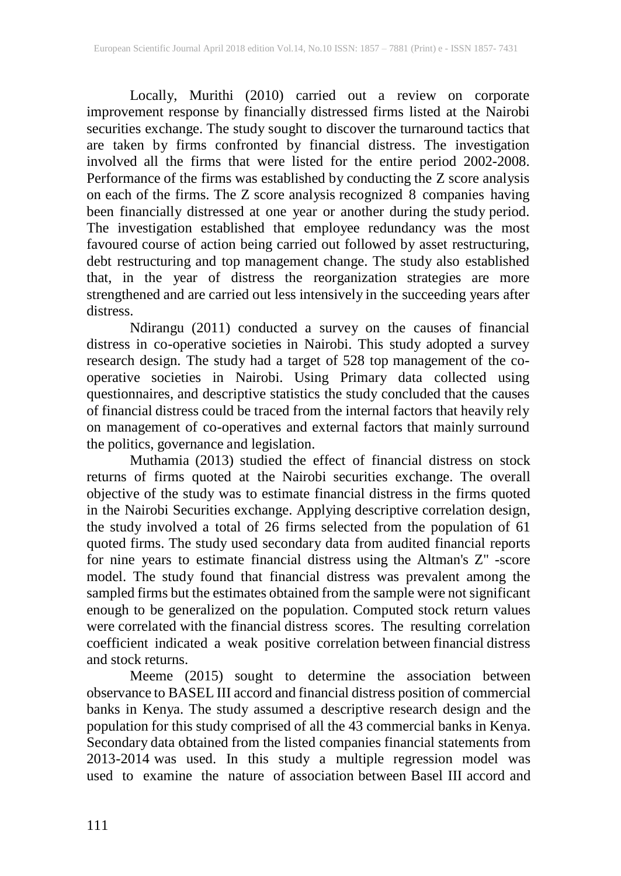Locally, Murithi (2010) carried out a review on corporate improvement response by financially distressed firms listed at the Nairobi securities exchange. The study sought to discover the turnaround tactics that are taken by firms confronted by financial distress. The investigation involved all the firms that were listed for the entire period 2002-2008. Performance of the firms was established by conducting the Z score analysis on each of the firms. The Z score analysis recognized 8 companies having been financially distressed at one year or another during the study period. The investigation established that employee redundancy was the most favoured course of action being carried out followed by asset restructuring, debt restructuring and top management change. The study also established that, in the year of distress the reorganization strategies are more strengthened and are carried out less intensively in the succeeding years after distress.

Ndirangu (2011) conducted a survey on the causes of financial distress in co-operative societies in Nairobi. This study adopted a survey research design. The study had a target of 528 top management of the cooperative societies in Nairobi. Using Primary data collected using questionnaires, and descriptive statistics the study concluded that the causes of financial distress could be traced from the internal factors that heavily rely on management of co-operatives and external factors that mainly surround the politics, governance and legislation.

Muthamia (2013) studied the effect of financial distress on stock returns of firms quoted at the Nairobi securities exchange. The overall objective of the study was to estimate financial distress in the firms quoted in the Nairobi Securities exchange. Applying descriptive correlation design, the study involved a total of 26 firms selected from the population of 61 quoted firms. The study used secondary data from audited financial reports for nine years to estimate financial distress using the Altman's Z" -score model. The study found that financial distress was prevalent among the sampled firms but the estimates obtained from the sample were not significant enough to be generalized on the population. Computed stock return values were correlated with the financial distress scores. The resulting correlation coefficient indicated a weak positive correlation between financial distress and stock returns.

Meeme (2015) sought to determine the association between observance to BASEL III accord and financial distress position of commercial banks in Kenya. The study assumed a descriptive research design and the population for this study comprised of all the 43 commercial banks in Kenya. Secondary data obtained from the listed companies financial statements from 2013-2014 was used. In this study a multiple regression model was used to examine the nature of association between Basel III accord and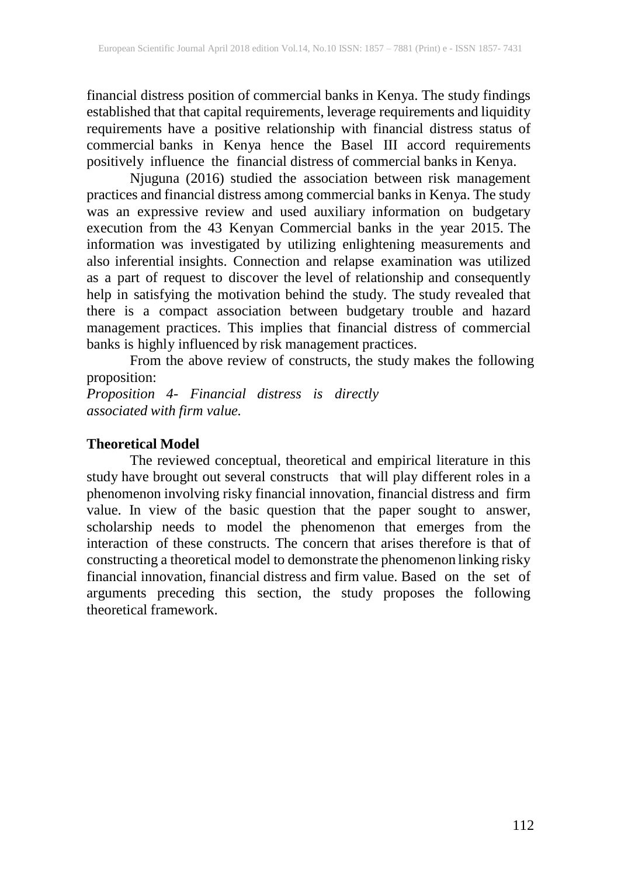financial distress position of commercial banks in Kenya. The study findings established that that capital requirements, leverage requirements and liquidity requirements have a positive relationship with financial distress status of commercial banks in Kenya hence the Basel III accord requirements positively influence the financial distress of commercial banks in Kenya.

Njuguna (2016) studied the association between risk management practices and financial distress among commercial banks in Kenya. The study was an expressive review and used auxiliary information on budgetary execution from the 43 Kenyan Commercial banks in the year 2015. The information was investigated by utilizing enlightening measurements and also inferential insights. Connection and relapse examination was utilized as a part of request to discover the level of relationship and consequently help in satisfying the motivation behind the study. The study revealed that there is a compact association between budgetary trouble and hazard management practices. This implies that financial distress of commercial banks is highly influenced by risk management practices.

From the above review of constructs, the study makes the following proposition:

*Proposition 4- Financial distress is directly associated with firm value.*

# **Theoretical Model**

The reviewed conceptual, theoretical and empirical literature in this study have brought out several constructs that will play different roles in a phenomenon involving risky financial innovation, financial distress and firm value. In view of the basic question that the paper sought to answer, scholarship needs to model the phenomenon that emerges from the interaction of these constructs. The concern that arises therefore is that of constructing a theoretical model to demonstrate the phenomenon linking risky financial innovation, financial distress and firm value. Based on the set of arguments preceding this section, the study proposes the following theoretical framework.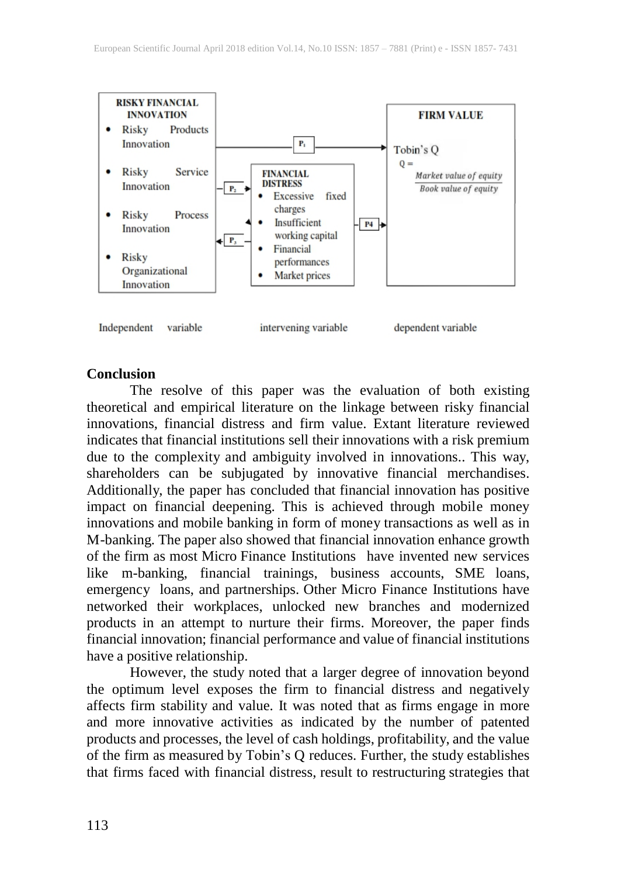

variable

Independent

intervening variable

dependent variable

#### **Conclusion**

The resolve of this paper was the evaluation of both existing theoretical and empirical literature on the linkage between risky financial innovations, financial distress and firm value. Extant literature reviewed indicates that financial institutions sell their innovations with a risk premium due to the complexity and ambiguity involved in innovations.. This way, shareholders can be subjugated by innovative financial merchandises. Additionally, the paper has concluded that financial innovation has positive impact on financial deepening. This is achieved through mobile money innovations and mobile banking in form of money transactions as well as in M-banking. The paper also showed that financial innovation enhance growth of the firm as most Micro Finance Institutions have invented new services like m-banking, financial trainings, business accounts, SME loans, emergency loans, and partnerships. Other Micro Finance Institutions have networked their workplaces, unlocked new branches and modernized products in an attempt to nurture their firms. Moreover, the paper finds financial innovation; financial performance and value of financial institutions have a positive relationship.

However, the study noted that a larger degree of innovation beyond the optimum level exposes the firm to financial distress and negatively affects firm stability and value. It was noted that as firms engage in more and more innovative activities as indicated by the number of patented products and processes, the level of cash holdings, profitability, and the value of the firm as measured by Tobin's Q reduces. Further, the study establishes that firms faced with financial distress, result to restructuring strategies that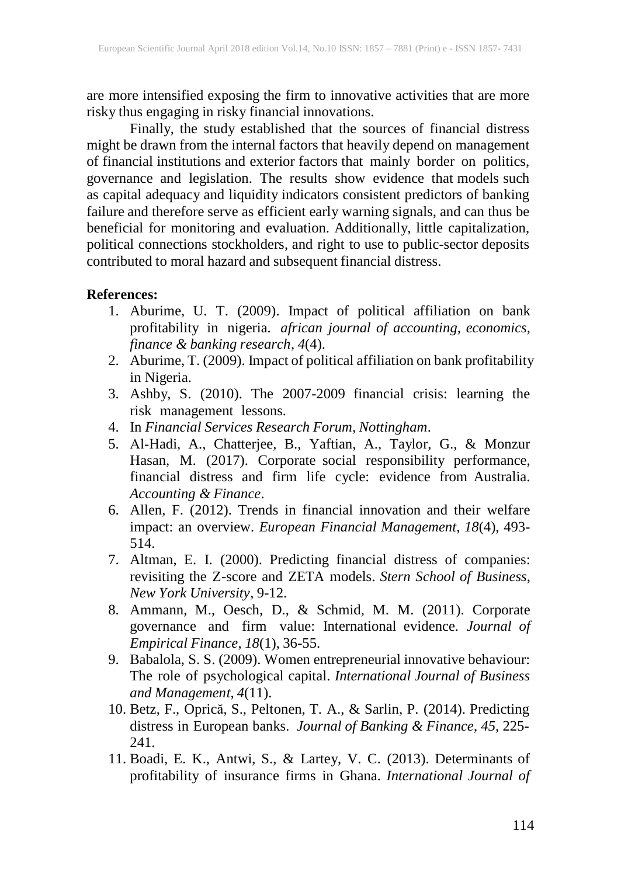are more intensified exposing the firm to innovative activities that are more risky thus engaging in risky financial innovations.

Finally, the study established that the sources of financial distress might be drawn from the internal factors that heavily depend on management of financial institutions and exterior factors that mainly border on politics, governance and legislation. The results show evidence that models such as capital adequacy and liquidity indicators consistent predictors of banking failure and therefore serve as efficient early warning signals, and can thus be beneficial for monitoring and evaluation. Additionally, little capitalization, political connections stockholders, and right to use to public-sector deposits contributed to moral hazard and subsequent financial distress.

### **References:**

- 1. Aburime, U. T. (2009). Impact of political affiliation on bank profitability in nigeria. *african journal of accounting, economics, finance & banking research*, *4*(4).
- 2. Aburime, T. (2009). Impact of political affiliation on bank profitability in Nigeria.
- 3. Ashby, S. (2010). The 2007-2009 financial crisis: learning the risk management lessons.
- 4. In *Financial Services Research Forum, Nottingham*.
- 5. Al‐Hadi, A., Chatterjee, B., Yaftian, A., Taylor, G., & Monzur Hasan, M. (2017). Corporate social responsibility performance, financial distress and firm life cycle: evidence from Australia. *Accounting & Finance*.
- 6. Allen, F. (2012). Trends in financial innovation and their welfare impact: an overview. *European Financial Management*, *18*(4), 493- 514.
- 7. Altman, E. I. (2000). Predicting financial distress of companies: revisiting the Z-score and ZETA models. *Stern School of Business, New York University*, 9-12.
- 8. Ammann, M., Oesch, D., & Schmid, M. M. (2011). Corporate governance and firm value: International evidence. *Journal of Empirical Finance*, *18*(1), 36-55.
- 9. Babalola, S. S. (2009). Women entrepreneurial innovative behaviour: The role of psychological capital. *International Journal of Business and Management*, *4*(11).
- 10. Betz, F., Oprică, S., Peltonen, T. A., & Sarlin, P. (2014). Predicting distress in European banks. *Journal of Banking & Finance*, *45*, 225- 241.
- 11. Boadi, E. K., Antwi, S., & Lartey, V. C. (2013). Determinants of profitability of insurance firms in Ghana. *International Journal of*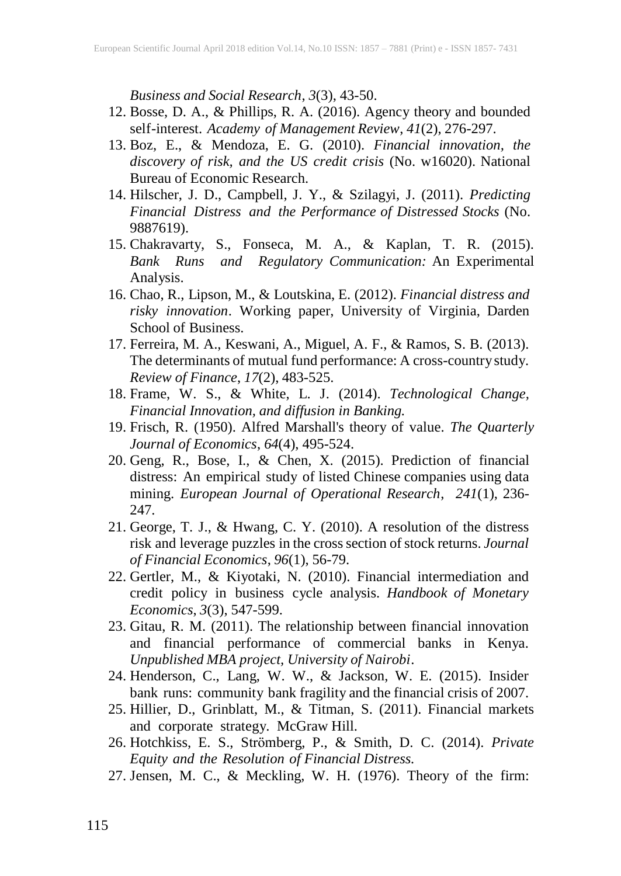*Business and Social Research*, *3*(3), 43-50.

- 12. Bosse, D. A., & Phillips, R. A. (2016). Agency theory and bounded self-interest. *Academy of Management Review*, *41*(2), 276-297.
- 13. Boz, E., & Mendoza, E. G. (2010). *Financial innovation, the discovery of risk, and the US credit crisis* (No. w16020). National Bureau of Economic Research.
- 14. Hilscher, J. D., Campbell, J. Y., & Szilagyi, J. (2011). *Predicting Financial Distress and the Performance of Distressed Stocks* (No. 9887619).
- 15. Chakravarty, S., Fonseca, M. A., & Kaplan, T. R. (2015). *Bank Runs and Regulatory Communication:* An Experimental Analysis.
- 16. Chao, R., Lipson, M., & Loutskina, E. (2012). *Financial distress and risky innovation*. Working paper, University of Virginia, Darden School of Business.
- 17. Ferreira, M. A., Keswani, A., Miguel, A. F., & Ramos, S. B. (2013). The determinants of mutual fund performance: A cross-country study. *Review of Finance*, *17*(2), 483-525.
- 18. Frame, W. S., & White, L. J. (2014). *Technological Change, Financial Innovation, and diffusion in Banking.*
- 19. Frisch, R. (1950). Alfred Marshall's theory of value. *The Quarterly Journal of Economics*, *64*(4), 495-524.
- 20. Geng, R., Bose, I., & Chen, X. (2015). Prediction of financial distress: An empirical study of listed Chinese companies using data mining. *European Journal of Operational Research*, *241*(1), 236- 247.
- 21. George, T. J., & Hwang, C. Y. (2010). A resolution of the distress risk and leverage puzzles in the cross section of stock returns. *Journal of Financial Economics*, *96*(1), 56-79.
- 22. Gertler, M., & Kiyotaki, N. (2010). Financial intermediation and credit policy in business cycle analysis. *Handbook of Monetary Economics*, *3*(3), 547-599.
- 23. Gitau, R. M. (2011). The relationship between financial innovation and financial performance of commercial banks in Kenya. *Unpublished MBA project, University of Nairobi*.
- 24. Henderson, C., Lang, W. W., & Jackson, W. E. (2015). Insider bank runs: community bank fragility and the financial crisis of 2007.
- 25. Hillier, D., Grinblatt, M., & Titman, S. (2011). Financial markets and corporate strategy. McGraw Hill.
- 26. Hotchkiss, E. S., Strömberg, P., & Smith, D. C. (2014). *Private Equity and the Resolution of Financial Distress.*
- 27. Jensen, M. C., & Meckling, W. H. (1976). Theory of the firm: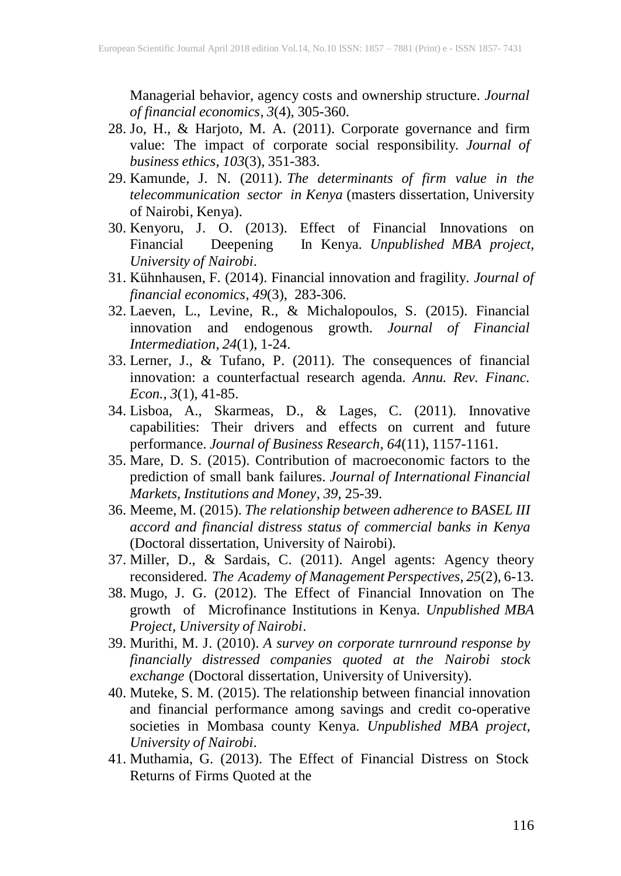Managerial behavior, agency costs and ownership structure. *Journal of financial economics*, *3*(4), 305-360.

- 28. Jo, H., & Harjoto, M. A. (2011). Corporate governance and firm value: The impact of corporate social responsibility. *Journal of business ethics*, *103*(3), 351-383.
- 29. Kamunde, J. N. (2011). *The determinants of firm value in the telecommunication sector in Kenya* (masters dissertation, University of Nairobi, Kenya).
- 30. Kenyoru, J. O. (2013). Effect of Financial Innovations on Financial Deepening In Kenya. *Unpublished MBA project, University of Nairobi*.
- 31. Kühnhausen, F. (2014). Financial innovation and fragility. *Journal of financial economics*, *49*(3), 283-306.
- 32. Laeven, L., Levine, R., & Michalopoulos, S. (2015). Financial innovation and endogenous growth. *Journal of Financial Intermediation*, *24*(1), 1-24.
- 33. Lerner, J., & Tufano, P. (2011). The consequences of financial innovation: a counterfactual research agenda. *Annu. Rev. Financ. Econ.*, *3*(1), 41-85.
- 34. Lisboa, A., Skarmeas, D., & Lages, C. (2011). Innovative capabilities: Their drivers and effects on current and future performance. *Journal of Business Research*, *64*(11), 1157-1161.
- 35. Mare, D. S. (2015). Contribution of macroeconomic factors to the prediction of small bank failures. *Journal of International Financial Markets, Institutions and Money*, *39*, 25-39.
- 36. Meeme, M. (2015). *The relationship between adherence to BASEL III accord and financial distress status of commercial banks in Kenya* (Doctoral dissertation, University of Nairobi).
- 37. Miller, D., & Sardais, C. (2011). Angel agents: Agency theory reconsidered. *The Academy of Management Perspectives*, *25*(2), 6-13.
- 38. Mugo, J. G. (2012). The Effect of Financial Innovation on The growth of Microfinance Institutions in Kenya. *Unpublished MBA Project, University of Nairobi*.
- 39. Murithi, M. J. (2010). *A survey on corporate turnround response by financially distressed companies quoted at the Nairobi stock exchange* (Doctoral dissertation, University of University).
- 40. Muteke, S. M. (2015). The relationship between financial innovation and financial performance among savings and credit co-operative societies in Mombasa county Kenya. *Unpublished MBA project, University of Nairobi*.
- 41. Muthamia, G. (2013). The Effect of Financial Distress on Stock Returns of Firms Quoted at the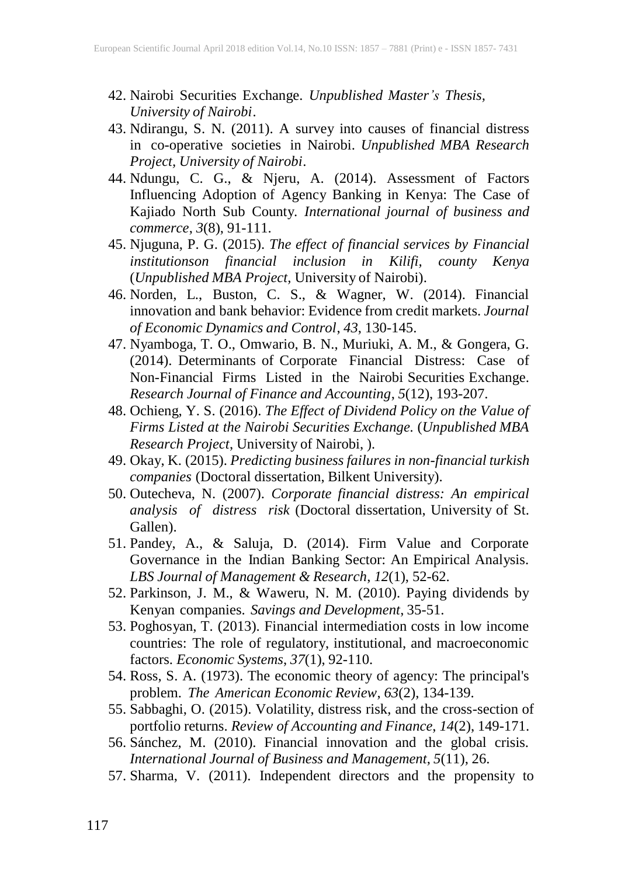- 42. Nairobi Securities Exchange. *Unpublished Master's Thesis, University of Nairobi*.
- 43. Ndirangu, S. N. (2011). A survey into causes of financial distress in co-operative societies in Nairobi. *Unpublished MBA Research Project, University of Nairobi*.
- 44. Ndungu, C. G., & Njeru, A. (2014). Assessment of Factors Influencing Adoption of Agency Banking in Kenya: The Case of Kajiado North Sub County. *International journal of business and commerce*, *3*(8), 91-111.
- 45. Njuguna, P. G. (2015). *The effect of financial services by Financial institutionson financial inclusion in Kilifi, county Kenya* (*Unpublished MBA Project,* University of Nairobi).
- 46. Norden, L., Buston, C. S., & Wagner, W. (2014). Financial innovation and bank behavior: Evidence from credit markets. *Journal of Economic Dynamics and Control*, *43*, 130-145.
- 47. Nyamboga, T. O., Omwario, B. N., Muriuki, A. M., & Gongera, G. (2014). Determinants of Corporate Financial Distress: Case of Non-Financial Firms Listed in the Nairobi Securities Exchange. *Research Journal of Finance and Accounting*, *5*(12), 193-207.
- 48. Ochieng, Y. S. (2016). *The Effect of Dividend Policy on the Value of Firms Listed at the Nairobi Securities Exchange.* (*Unpublished MBA Research Project*, University of Nairobi, ).
- 49. Okay, K. (2015). *Predicting business failures in non-financial turkish companies* (Doctoral dissertation, Bilkent University).
- 50. Outecheva, N. (2007). *Corporate financial distress: An empirical analysis of distress risk* (Doctoral dissertation, University of St. Gallen).
- 51. Pandey, A., & Saluja, D. (2014). Firm Value and Corporate Governance in the Indian Banking Sector: An Empirical Analysis. *LBS Journal of Management & Research*, *12*(1), 52-62.
- 52. Parkinson, J. M., & Waweru, N. M. (2010). Paying dividends by Kenyan companies. *Savings and Development*, 35-51.
- 53. Poghosyan, T. (2013). Financial intermediation costs in low income countries: The role of regulatory, institutional, and macroeconomic factors. *Economic Systems*, *37*(1), 92-110.
- 54. Ross, S. A. (1973). The economic theory of agency: The principal's problem. *The American Economic Review*, *63*(2), 134-139.
- 55. Sabbaghi, O. (2015). Volatility, distress risk, and the cross-section of portfolio returns. *Review of Accounting and Finance*, *14*(2), 149-171.
- 56. Sánchez, M. (2010). Financial innovation and the global crisis. *International Journal of Business and Management*, *5*(11), 26.
- 57. Sharma, V. (2011). Independent directors and the propensity to